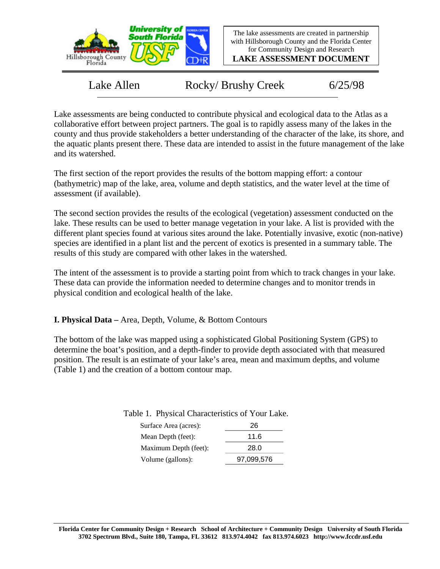

**LAKE ASSESSMENT DOCUMENT**

Lake Allen Rocky/ Brushy Creek 6/25/98

Lake assessments are being conducted to contribute physical and ecological data to the Atlas as a collaborative effort between project partners. The goal is to rapidly assess many of the lakes in the county and thus provide stakeholders a better understanding of the character of the lake, its shore, and the aquatic plants present there. These data are intended to assist in the future management of the lake and its watershed.

The first section of the report provides the results of the bottom mapping effort: a contour (bathymetric) map of the lake, area, volume and depth statistics, and the water level at the time of assessment (if available).

The second section provides the results of the ecological (vegetation) assessment conducted on the lake. These results can be used to better manage vegetation in your lake. A list is provided with the different plant species found at various sites around the lake. Potentially invasive, exotic (non-native) species are identified in a plant list and the percent of exotics is presented in a summary table. The results of this study are compared with other lakes in the watershed.

The intent of the assessment is to provide a starting point from which to track changes in your lake. These data can provide the information needed to determine changes and to monitor trends in physical condition and ecological health of the lake.

**I. Physical Data –** Area, Depth, Volume, & Bottom Contours

The bottom of the lake was mapped using a sophisticated Global Positioning System (GPS) to determine the boat's position, and a depth-finder to provide depth associated with that measured position. The result is an estimate of your lake's area, mean and maximum depths, and volume (Table 1) and the creation of a bottom contour map.

Table 1. Physical Characteristics of Your Lake.

| Surface Area (acres): | 26         |
|-----------------------|------------|
| Mean Depth (feet):    | 11.6       |
| Maximum Depth (feet): | 28.0       |
| Volume (gallons):     | 97,099,576 |
|                       |            |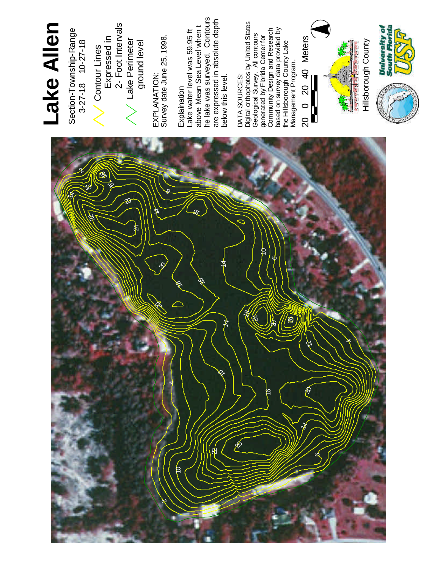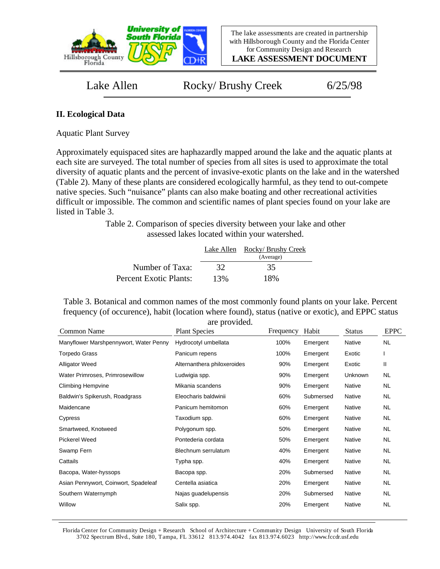

**LAKE ASSESSMENT DOCUMENT**

Lake Allen Rocky/ Brushy Creek 6/25/98

## **II. Ecological Data**

Aquatic Plant Survey

Approximately equispaced sites are haphazardly mapped around the lake and the aquatic plants at each site are surveyed. The total number of species from all sites is used to approximate the total diversity of aquatic plants and the percent of invasive-exotic plants on the lake and in the watershed (Table 2). Many of these plants are considered ecologically harmful, as they tend to out-compete native species. Such "nuisance" plants can also make boating and other recreational activities difficult or impossible. The common and scientific names of plant species found on your lake are listed in Table 3.

> Table 2. Comparison of species diversity between your lake and other assessed lakes located within your watershed.

|                        | Lake Allen | Rocky/ Brushy Creek |
|------------------------|------------|---------------------|
|                        |            | (Average)           |
| Number of Taxa:        | 32         | 35                  |
| Percent Exotic Plants: | 13%        | 18%                 |

Table 3. Botanical and common names of the most commonly found plants on your lake. Percent frequency (of occurence), habit (location where found), status (native or exotic), and EPPC status are provided.

| Common Name                            | are provided.<br><b>Plant Species</b> | Frequency | Habit     | <b>Status</b> | <b>EPPC</b> |
|----------------------------------------|---------------------------------------|-----------|-----------|---------------|-------------|
| Manyflower Marshpennywort, Water Penny | Hydrocotyl umbellata                  | 100%      | Emergent  | Native        | <b>NL</b>   |
| <b>Torpedo Grass</b>                   | Panicum repens                        | 100%      | Emergent  | Exotic        |             |
| <b>Alligator Weed</b>                  | Alternanthera philoxeroides           | 90%       | Emergent  | Exotic        | Ш           |
| Water Primroses, Primrosewillow        | Ludwigia spp.                         | 90%       | Emergent  | Unknown       | NL          |
| <b>Climbing Hempvine</b>               | Mikania scandens                      | 90%       | Emergent  | Native        | NL          |
| Baldwin's Spikerush, Roadgrass         | Eleocharis baldwinii                  | 60%       | Submersed | Native        | NL.         |
| Maidencane                             | Panicum hemitomon                     | 60%       | Emergent  | Native        | NL.         |
| Cypress                                | Taxodium spp.                         | 60%       | Emergent  | Native        | NL.         |
| Smartweed, Knotweed                    | Polygonum spp.                        | 50%       | Emergent  | Native        | NL.         |
| <b>Pickerel Weed</b>                   | Pontederia cordata                    | 50%       | Emergent  | Native        | NL.         |
| Swamp Fern                             | Blechnum serrulatum                   | 40%       | Emergent  | Native        | <b>NL</b>   |
| Cattails                               | Typha spp.                            | 40%       | Emergent  | Native        | NL.         |
| Bacopa, Water-hyssops                  | Bacopa spp.                           | 20%       | Submersed | Native        | NL.         |
| Asian Pennywort, Coinwort, Spadeleaf   | Centella asiatica                     | 20%       | Emergent  | Native        | NL.         |
| Southern Waternymph                    | Najas guadelupensis                   | 20%       | Submersed | Native        | NL.         |
| Willow                                 | Salix spp.                            | 20%       | Emergent  | Native        | <b>NL</b>   |

Florida Center for Community Design + Research School of Architecture + Community Design University of South Florida 3702 Spectrum Blvd., Suite 180, Tampa, FL 33612 813.974.4042 fax 813.974.6023 http://www.fccdr.usf.edu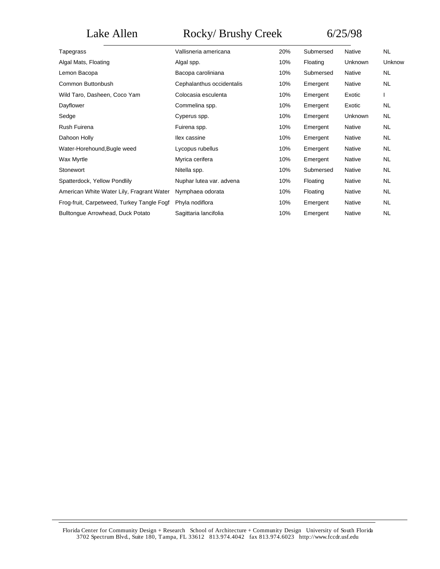# Lake Allen Rocky/ Brushy Creek 6/25/98

| Vallisneria americana     | 20% | Submersed | Native        | <b>NL</b> |
|---------------------------|-----|-----------|---------------|-----------|
| Algal spp.                | 10% | Floating  | Unknown       | Unknow    |
| Bacopa caroliniana        | 10% | Submersed | Native        | <b>NL</b> |
| Cephalanthus occidentalis | 10% | Emergent  | Native        | <b>NL</b> |
| Colocasia esculenta       | 10% | Emergent  | Exotic        |           |
| Commelina spp.            | 10% | Emergent  | Exotic        | <b>NL</b> |
| Cyperus spp.              | 10% | Emergent  | Unknown       | <b>NL</b> |
| Fuirena spp.              | 10% | Emergent  | Native        | <b>NL</b> |
| llex cassine              | 10% | Emergent  | Native        | <b>NL</b> |
| Lycopus rubellus          | 10% | Emergent  | Native        | <b>NL</b> |
| Myrica cerifera           | 10% | Emergent  | <b>Native</b> | <b>NL</b> |
| Nitella spp.              | 10% | Submersed | Native        | <b>NL</b> |
| Nuphar lutea var. advena  | 10% | Floating  | Native        | <b>NL</b> |
| Nymphaea odorata          | 10% | Floating  | Native        | <b>NL</b> |
| Phyla nodiflora           | 10% | Emergent  | Native        | <b>NL</b> |
| Sagittaria lancifolia     | 10% | Emergent  | Native        | <b>NL</b> |
|                           |     |           |               |           |